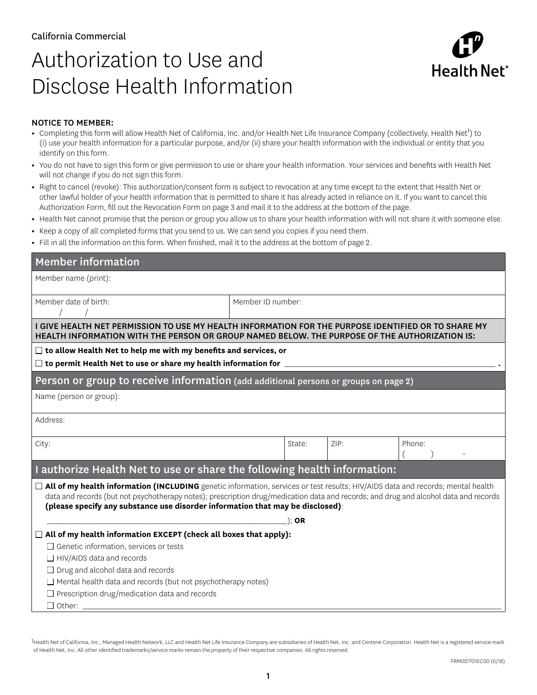## Authorization to Use and Disclose Health Information



## NOTICE TO MEMBER:

- Completing this form will allow Health Net of California, Inc. and/or Health Net Life Insurance Company (collectively, Health Net<sup>1</sup>) to (i) use your health information for a particular purpose, and/or (ii) share your health information with the individual or entity that you identify on this form.
- **•** You do not have to sign this form or give permission to use or share your health information. Your services and benefits with Health Net will not change if you do not sign this form.
- **•** Right to cancel (revoke): This authorization/consent form is subject to revocation at any time except to the extent that Health Net or other lawful holder of your health information that is permitted to share it has already acted in reliance on it. If you want to cancel this Authorization Form, fill out the Revocation Form on page 3 and mail it to the address at the bottom of the page.
- **•** Health Net cannot promise that the person or group you allow us to share your health information with will not share it with someone else.
- **•** Keep a copy of all completed forms that you send to us. We can send you copies if you need them.
- **•** Fill in all the information on this form. When finished, mail it to the address at the bottom of page 2.

| <b>Member information</b>                                                                                                                                                                                                                                                                                                                                   |                   |  |      |        |  |  |  |
|-------------------------------------------------------------------------------------------------------------------------------------------------------------------------------------------------------------------------------------------------------------------------------------------------------------------------------------------------------------|-------------------|--|------|--------|--|--|--|
| Member name (print):                                                                                                                                                                                                                                                                                                                                        |                   |  |      |        |  |  |  |
| Member date of birth:                                                                                                                                                                                                                                                                                                                                       | Member ID number: |  |      |        |  |  |  |
| I GIVE HEALTH NET PERMISSION TO USE MY HEALTH INFORMATION FOR THE PURPOSE IDENTIFIED OR TO SHARE MY<br>HEALTH INFORMATION WITH THE PERSON OR GROUP NAMED BELOW. THE PURPOSE OF THE AUTHORIZATION IS:                                                                                                                                                        |                   |  |      |        |  |  |  |
| $\Box$ to allow Health Net to help me with my benefits and services, or<br>$\square$ to permit Health Net to use or share my health information for $\square$                                                                                                                                                                                               |                   |  |      |        |  |  |  |
| Person or group to receive information (add additional persons or groups on page 2)                                                                                                                                                                                                                                                                         |                   |  |      |        |  |  |  |
| Name (person or group):                                                                                                                                                                                                                                                                                                                                     |                   |  |      |        |  |  |  |
| Address:                                                                                                                                                                                                                                                                                                                                                    |                   |  |      |        |  |  |  |
| City:                                                                                                                                                                                                                                                                                                                                                       | State:            |  | ZIP: | Phone: |  |  |  |
| I authorize Health Net to use or share the following health information:                                                                                                                                                                                                                                                                                    |                   |  |      |        |  |  |  |
| □ All of my health information (INCLUDING genetic information, services or test results; HIV/AIDS data and records; mental health<br>data and records (but not psychotherapy notes); prescription drug/medication data and records; and drug and alcohol data and records<br>(please specify any substance use disorder information that may be disclosed): |                   |  |      |        |  |  |  |
| $):$ OR<br>$\Box$ All of my health information EXCEPT (check all boxes that apply):                                                                                                                                                                                                                                                                         |                   |  |      |        |  |  |  |
| $\Box$ Genetic information, services or tests                                                                                                                                                                                                                                                                                                               |                   |  |      |        |  |  |  |
| $\Box$ HIV/AIDS data and records                                                                                                                                                                                                                                                                                                                            |                   |  |      |        |  |  |  |
| $\Box$ Drug and alcohol data and records                                                                                                                                                                                                                                                                                                                    |                   |  |      |        |  |  |  |
| $\Box$ Mental health data and records (but not psychotherapy notes)                                                                                                                                                                                                                                                                                         |                   |  |      |        |  |  |  |
| $\Box$ Prescription drug/medication data and records<br>$\Box$ Other:                                                                                                                                                                                                                                                                                       |                   |  |      |        |  |  |  |
|                                                                                                                                                                                                                                                                                                                                                             |                   |  |      |        |  |  |  |

<sup>1</sup>Health Net of California, Inc., Managed Health Network, LLC and Health Net Life Insurance Company are subsidiaries of Health Net, Inc. and Centene Corporation. Health Net is a registered service mark of Health Net, Inc. All other identified trademarks/service marks remain the property of their respective companies. All rights reserved.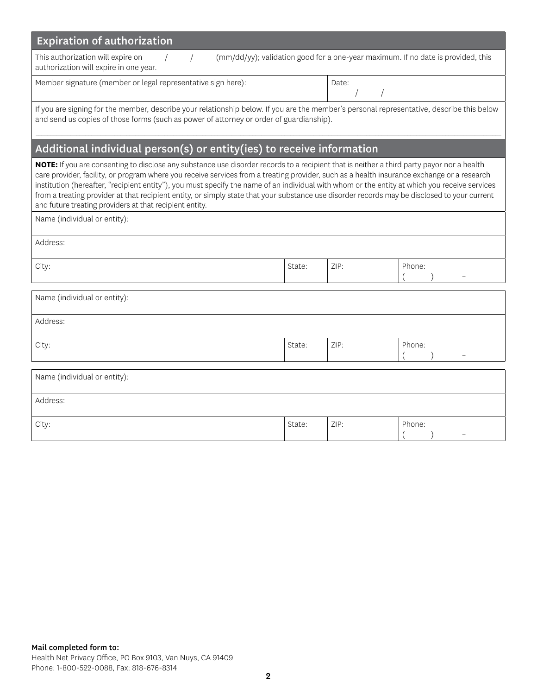| <b>Expiration of authorization</b>                                                                                                                                                                                                                                                                                                                                                                                                                                                                                                                                                                                                                   |        |      |        |  |  |  |  |
|------------------------------------------------------------------------------------------------------------------------------------------------------------------------------------------------------------------------------------------------------------------------------------------------------------------------------------------------------------------------------------------------------------------------------------------------------------------------------------------------------------------------------------------------------------------------------------------------------------------------------------------------------|--------|------|--------|--|--|--|--|
| (mm/dd/yy); validation good for a one-year maximum. If no date is provided, this<br>This authorization will expire on<br>authorization will expire in one year.                                                                                                                                                                                                                                                                                                                                                                                                                                                                                      |        |      |        |  |  |  |  |
| Member signature (member or legal representative sign here):                                                                                                                                                                                                                                                                                                                                                                                                                                                                                                                                                                                         | Date:  |      |        |  |  |  |  |
| If you are signing for the member, describe your relationship below. If you are the member's personal representative, describe this below<br>and send us copies of those forms (such as power of attorney or order of guardianship).                                                                                                                                                                                                                                                                                                                                                                                                                 |        |      |        |  |  |  |  |
| Additional individual person(s) or entity(ies) to receive information                                                                                                                                                                                                                                                                                                                                                                                                                                                                                                                                                                                |        |      |        |  |  |  |  |
| NOTE: If you are consenting to disclose any substance use disorder records to a recipient that is neither a third party payor nor a health<br>care provider, facility, or program where you receive services from a treating provider, such as a health insurance exchange or a research<br>institution (hereafter, "recipient entity"), you must specify the name of an individual with whom or the entity at which you receive services<br>from a treating provider at that recipient entity, or simply state that your substance use disorder records may be disclosed to your current<br>and future treating providers at that recipient entity. |        |      |        |  |  |  |  |
| Name (individual or entity):                                                                                                                                                                                                                                                                                                                                                                                                                                                                                                                                                                                                                         |        |      |        |  |  |  |  |
| Address:                                                                                                                                                                                                                                                                                                                                                                                                                                                                                                                                                                                                                                             |        |      |        |  |  |  |  |
| City:                                                                                                                                                                                                                                                                                                                                                                                                                                                                                                                                                                                                                                                | State: | ZIP: | Phone: |  |  |  |  |
| Name (individual or entity):                                                                                                                                                                                                                                                                                                                                                                                                                                                                                                                                                                                                                         |        |      |        |  |  |  |  |
| Address:                                                                                                                                                                                                                                                                                                                                                                                                                                                                                                                                                                                                                                             |        |      |        |  |  |  |  |
| City:                                                                                                                                                                                                                                                                                                                                                                                                                                                                                                                                                                                                                                                | State: | ZIP: | Phone: |  |  |  |  |
| Name (individual or entity):                                                                                                                                                                                                                                                                                                                                                                                                                                                                                                                                                                                                                         |        |      |        |  |  |  |  |
| Address:                                                                                                                                                                                                                                                                                                                                                                                                                                                                                                                                                                                                                                             |        |      |        |  |  |  |  |
| City:                                                                                                                                                                                                                                                                                                                                                                                                                                                                                                                                                                                                                                                | State: | ZIP: | Phone: |  |  |  |  |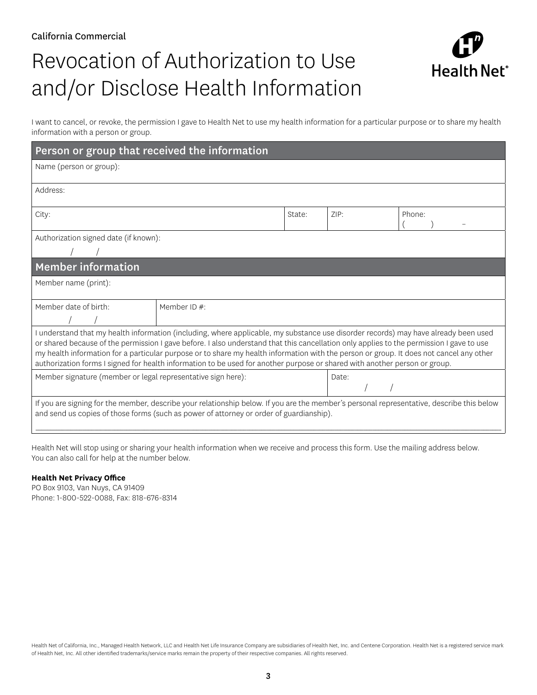# Revocation of Authorization to Use and/or Disclose Health Information



I want to cancel, or revoke, the permission I gave to Health Net to use my health information for a particular purpose or to share my health information with a person or group.

| Person or group that received the information                                                                                                                                                                                                                                                                                                                                                                                                                                                                                                            |                 |        |       |        |  |  |  |
|----------------------------------------------------------------------------------------------------------------------------------------------------------------------------------------------------------------------------------------------------------------------------------------------------------------------------------------------------------------------------------------------------------------------------------------------------------------------------------------------------------------------------------------------------------|-----------------|--------|-------|--------|--|--|--|
| Name (person or group):                                                                                                                                                                                                                                                                                                                                                                                                                                                                                                                                  |                 |        |       |        |  |  |  |
| Address:                                                                                                                                                                                                                                                                                                                                                                                                                                                                                                                                                 |                 |        |       |        |  |  |  |
| City:                                                                                                                                                                                                                                                                                                                                                                                                                                                                                                                                                    |                 | State: | ZIP:  | Phone: |  |  |  |
| Authorization signed date (if known):                                                                                                                                                                                                                                                                                                                                                                                                                                                                                                                    |                 |        |       |        |  |  |  |
|                                                                                                                                                                                                                                                                                                                                                                                                                                                                                                                                                          |                 |        |       |        |  |  |  |
| <b>Member information</b>                                                                                                                                                                                                                                                                                                                                                                                                                                                                                                                                |                 |        |       |        |  |  |  |
| Member name (print):                                                                                                                                                                                                                                                                                                                                                                                                                                                                                                                                     |                 |        |       |        |  |  |  |
| Member date of birth:                                                                                                                                                                                                                                                                                                                                                                                                                                                                                                                                    | Member ID $#$ : |        |       |        |  |  |  |
| I understand that my health information (including, where applicable, my substance use disorder records) may have already been used<br>or shared because of the permission I gave before. I also understand that this cancellation only applies to the permission I gave to use<br>my health information for a particular purpose or to share my health information with the person or group. It does not cancel any other<br>authorization forms I signed for health information to be used for another purpose or shared with another person or group. |                 |        |       |        |  |  |  |
| Member signature (member or legal representative sign here):                                                                                                                                                                                                                                                                                                                                                                                                                                                                                             |                 |        | Date: |        |  |  |  |
| If you are signing for the member, describe your relationship below. If you are the member's personal representative, describe this below<br>and send us copies of those forms (such as power of attorney or order of guardianship).                                                                                                                                                                                                                                                                                                                     |                 |        |       |        |  |  |  |

Health Net will stop using or sharing your health information when we receive and process this form. Use the mailing address below. You can also call for help at the number below.

### **Health Net Privacy Office**

PO Box 9103, Van Nuys, CA 91409 Phone: 1-800-522-0088, Fax: 818-676-8314

Health Net of California, Inc., Managed Health Network, LLC and Health Net Life Insurance Company are subsidiaries of Health Net, Inc. and Centene Corporation. Health Net is a registered service mark of Health Net, Inc. All other identified trademarks/service marks remain the property of their respective companies. All rights reserved.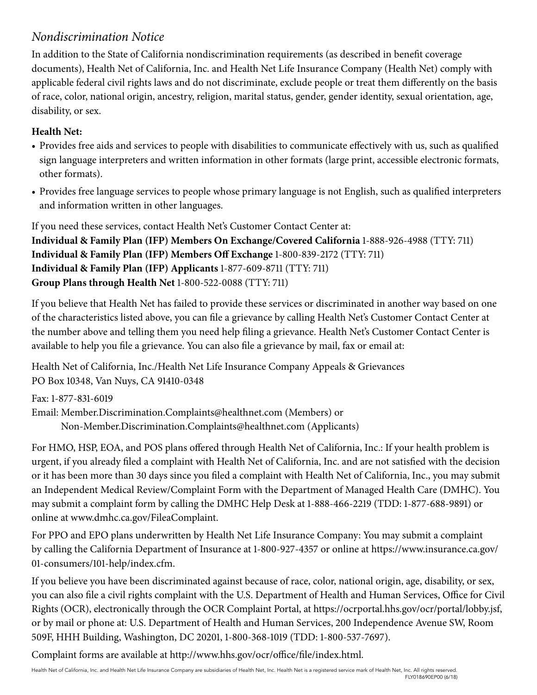## *Nondiscrimination Notice*

In addition to the State of California nondiscrimination requirements (as described in benefit coverage documents), Health Net of California, Inc. and Health Net Life Insurance Company (Health Net) comply with applicable federal civil rights laws and do not discriminate, exclude people or treat them differently on the basis of race, color, national origin, ancestry, religion, marital status, gender, gender identity, sexual orientation, age, disability, or sex.

## **Health Net:**

- Provides free aids and services to people with disabilities to communicate effectively with us, such as qualified sign language interpreters and written information in other formats (large print, accessible electronic formats, other formats).
- Provides free language services to people whose primary language is not English, such as qualified interpreters and information written in other languages.

If you need these services, contact Health Net's Customer Contact Center at: **Individual & Family Plan (IFP) Members On Exchange/Covered California** 1-888-926-4988 (TTY: 711) **Individual & Family Plan (IFP) Members Off Exchange** 1-800-839-2172 (TTY: 711) **Individual & Family Plan (IFP) Applicants** 1-877-609-8711 (TTY: 711) **Group Plans through Health Net** 1-800-522-0088 (TTY: 711)

If you believe that Health Net has failed to provide these services or discriminated in another way based on one of the characteristics listed above, you can file a grievance by calling Health Net's Customer Contact Center at the number above and telling them you need help filing a grievance. Health Net's Customer Contact Center is available to help you file a grievance. You can also file a grievance by mail, fax or email at:

Health Net of California, Inc./Health Net Life Insurance Company Appeals & Grievances PO Box 10348, Van Nuys, CA 91410-0348

Fax: 1-877-831-6019 Email: Member.Discrimination.Complaints@healthnet.com (Members) or Non-Member.Discrimination.Complaints@healthnet.com (Applicants)

For HMO, HSP, EOA, and POS plans offered through Health Net of California, Inc.: If your health problem is urgent, if you already filed a complaint with Health Net of California, Inc. and are not satisfied with the decision or it has been more than 30 days since you filed a complaint with Health Net of California, Inc., you may submit an Independent Medical Review/Complaint Form with the Department of Managed Health Care (DMHC). You may submit a complaint form by calling the DMHC Help Desk at 1-888-466-2219 (TDD: 1-877-688-9891) or online at www.dmhc.ca.gov/FileaComplaint.

For PPO and EPO plans underwritten by Health Net Life Insurance Company: You may submit a complaint by calling the California Department of Insurance at 1-800-927-4357 or online at https://www.insurance.ca.gov/ 01-consumers/101-help/index.cfm.

If you believe you have been discriminated against because of race, color, national origin, age, disability, or sex, you can also file a civil rights complaint with the U.S. Department of Health and Human Services, Office for Civil Rights (OCR), electronically through the OCR Complaint Portal, at https://ocrportal.hhs.gov/ocr/portal/lobby.jsf, or by mail or phone at: U.S. Department of Health and Human Services, 200 Independence Avenue SW, Room 509F, HHH Building, Washington, DC 20201, 1-800-368-1019 (TDD: 1-800-537-7697).

Complaint forms are available at http://www.hhs.gov/ocr/office/file/index.html.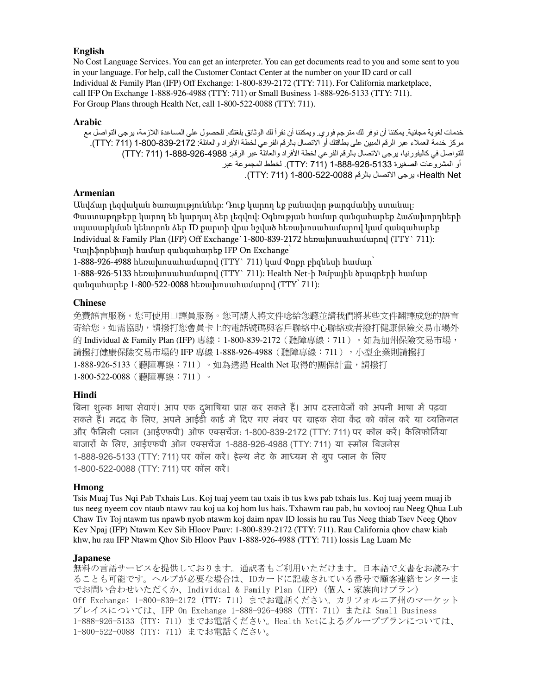## **English**

No Cost Language Services. You can get an interpreter. You can get documents read to you and some sent to you in your language. For help, call the Customer Contact Center at the number on your ID card or call Individual & Family Plan (IFP) Off Exchange: 1-800-839-2172 (TTY: 711). For California marketplace, call IFP On Exchange 1-888-926-4988 (TTY: 711) or Small Business 1-888-926-5133 (TTY: 711). For Group Plans through Health Net, call 1-800-522-0088 (TTY: 711).

## **Arabic**

خدمات لغوية مجانية. يمكننا أن نوفر لك مترجم فوري. ويمكننا أن نقرأ لك الوثائق بلغتك. للحصول على المساعدة الالزمة، يرجى التواصل مع مركز خدمة العمالء عبر الرقم المبين على بطاقتك أو االتصال بالرقم الفرعي لخطة األفراد والعائلة: 1-800-839-2172 )711 :TTY). للتواصل في كاليفورنيا، يرجى االتصال بالرقم الفرعي لخطة األفراد والعائلة عبر الرقم: 1-888-926-4988 )711 :TTY) أو المشروعات الصغيرة 1-888-926-5133 )711 :TTY). لخطط المجموعة عبر Net Health، يرجى االتصال بالرقم 1-800-522-0088 )711 :TTY).

## **Armenian**

Անվճար լեզվական ծառայություններ: Դուք կարող եք բանավոր թարգմանիչ ստանալ: Փաստաթղթերը կարող են կարդալ ձեր լեզվով: Օգնության համար զանգահարեք Հաճախորդների սպասարկման կենտրոն ձեր ID քարտի վրա նշված հեռախոսահամարով կամ զանգահարեք Individual & Family Plan (IFP) Off Exchange`1-800-839-2172 հեռախոսահամարով (TTY` 711): Կալիֆորնիայի համար զանգահարեք IFP On Exchange՝

1-888-926-4988 հեռախոսահամարով (TTY` 711) կամ Փոքր բիզնեսի համար՝ 1-888-926-5133 հեռախոսահամարով (TTY` 711): Health Net-ի Խմբային ծրագրերի համար զանգահարեք 1-800-522-0088 հեռախոսահամարով (TTY՝ 711):

## **Chinese**

免費語言服務。您可使用口譯員服務。您可請人將文件唸給您聽並請我們將某些文件翻譯成您的語言 寄給您。如需協助,請撥打您會員卡上的電話號碼與客戶聯絡中心聯絡或者撥打健康保險交易市場外 的 Individual & Family Plan (IFP) 專線:1-800-839-2172 (聽障專線:711) 。如為加州保險交易市場, 請撥打健康保險交易市場的 IFP 專線 1-888-926-4988(聽障專線:711),小型企業則請撥打 1-888-926-5133 (聽障專線: 711)。如為透過 Health Net 取得的團保計畫,請撥打 1-800-522-0088(聽障專線:711)。

## **Hindi**

बिना शुल्क भाषा सेवाएं। आप एक दुर्भाषिया प्राप्त कर सकते हैं। आप दस्तावेजों को अपनी भाषा में पढ़वा सकते हैं। मदद के लिए, अपने आईडी कार्ड में दिए गए नंबर पर ग्राहक सेवा केंद्र को कॉल करें या व्यक्तिगत और फैमिली प्लान (आईएफपी) ऑफ एक्सचेंज: 1-800-839-2172 (TTY: 711) पर कॉल करें। कैलिफोर्निया बाजारों के लिए, आईएफपी ऑन एक्सचेंज 1-888-926-4988 (TTY: 711) या स्मॉल बिजनेस 1-888-926-5133 (TTY: 711) पर कॉल करें। हेल्थ नेट के माध्यम से ग्रुप प्लान के लिए 1-800-522-0088 (TTY: 711) पर कॉल करें।

## **Hmong**

Tsis Muaj Tus Nqi Pab Txhais Lus. Koj tuaj yeem tau txais ib tus kws pab txhais lus. Koj tuaj yeem muaj ib tus neeg nyeem cov ntaub ntawv rau koj ua koj hom lus hais. Txhawm rau pab, hu xovtooj rau Neeg Qhua Lub Chaw Tiv Toj ntawm tus npawb nyob ntawm koj daim npav ID lossis hu rau Tus Neeg thiab Tsev Neeg Qhov Kev Npaj (IFP) Ntawm Kev Sib Hloov Pauv: 1-800-839-2172 (TTY: 711). Rau California qhov chaw kiab khw, hu rau IFP Ntawm Qhov Sib Hloov Pauv 1-888-926-4988 (TTY: 711) lossis Lag Luam Me

#### 1-888-926-5133 (TTY: 711). Rau Cov Pab Pawg Chaw Npaj Kho Mob hla Health Net, hu rau 1-800-522-0088 (TTY: 711). **Japanese**

無料の言語サービスを提供しております。通訳者もご利用いただけます。日本語で文書をお読みす ることも可能です。ヘルプが必要な場合は、IDカードに記載されている番号で顧客連絡センターま でお問い合わせいただくか、Individual & Family Plan (IFP) (個人・家族向けプラン) Off Exchange: 1-800-839-2172 (TTY: 711) までお電話ください。カリフォルニア州のマーケット プレイスについては、IFP On Exchange 1-888-926-4988 (TTY: 711) または Small Business 1-888-926-5133 (TTY: 711) までお電話ください。Health Netによるグループプランについては、 1-800-522-0088 (TTY: 711) までお電話ください。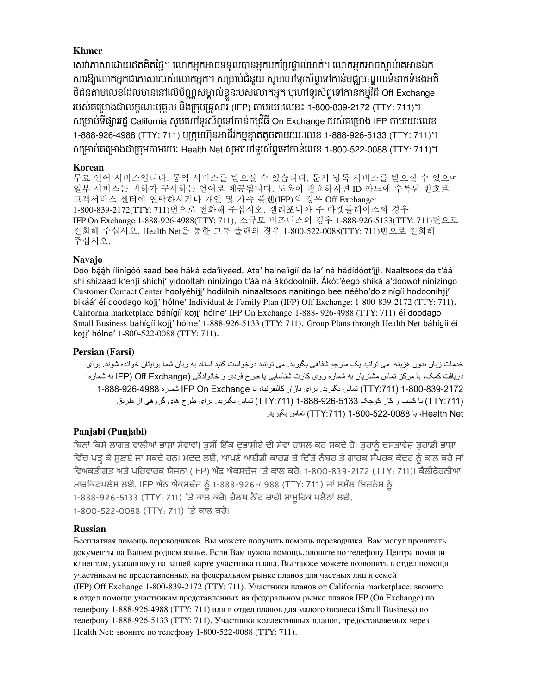## **Khmer**

សេវាភាសាដោយឥតគិតច្លេ។ លោកអ្នកអាចទទួលបានអ្នកបកប្រេធ្ធាលមាត់។ លោកអ្នកអាចស្តាប់គេអានឯក សារឱ្យលោកអ្នកជាភាសារបស់លោកអ្នក។ សម្រាបជំនួយ សូមហោទូរសព្វទៅកាន់មជ្ឈមណ្ឌលទំនាក់ទំនងអត ថជនតាមលេខដែលមាននោលេបណ្ណសម្គាលខ្លួនរបស់លោកអ្នក ឬហោទូរសព្វទោកានកម្មវធ Off Exchange របស់គម្រោងជាលក្ខណៈបុគ្គល នងក្រុមគ្រួសារ (IFP) តាមរយៈលេខ៖ 1-800-839-2172 (TTY: 711)។ សម្រាប់ទង្សាររដ្ឋ California សូមហោទូរសព្វទោកាន់កម្មវធិ On Exchange របស់គម្រោង IFP តាមរយៈលេខ 1-888-926-4988 (TTY: 711) ឬក្រុមហ៊ុនអាជីវកម្មខ្នាតតូចតាមរយៈលេខ 1-888-926-5133 (TTY: 711)។ េ្មាប់គស្មាងជា្ករុមតាមរយៈ Health Net េូមសៅទូរេ័ពទាសៅកាន់សលខ 1-800-522-0088 (TTY: 711)។

## **Korean**

무료 언어 서비스입니다. 통역 서비스를 받으실 수 있습니다. 문서 낭독 서비스를 받으실 수 있으며 일부 서비스는 귀하가 구사하는 언어로 제공됩니다. 도움이 필요하시면 ID 카드에 수록된 번호로 고객서비스 센터에 연락하시거나 개인 및 가족 플랜(IFP)의 경우 Off Exchange: 1-800-839-2172(TTY: 711)번으로 전화해 주십시오. 캘리포니아 주 마켓플레이스의 경우 IFP On Exchange 1-888-926-4988(TTY: 711), 소규모 비즈니스의 경우 1-888-926-5133(TTY: 711)번으로 전화해 주십시오. Health Net을 통한 그룹 플랜의 경우 1-800-522-0088(TTY: 711)번으로 전화해 주십시오.

## **Navajo**

Doo bááh ílínígóó saad bee háká ada'iiyeed. Ata' halne'ígíí da ła' ná hádídóot'iił. Naaltsoos da t'áá shí shizaad k'ehjí shichí' yídooltah nínízingo t'áá ná ákódoolnííł. Ákót'éego shíká a'doowoł nínízingo Customer Contact Center hoolyéhíjj' hodíílnih ninaaltsoos nanitingo bee néého'dolzinígíí hodoonihjj' bikáá' éí doodago koji' hólne' Individual & Family Plan (IFP) Off Exchange: 1-800-839-2172 (TTY: 711). California marketplace báhígíí koji' hólne' IFP On Exchange 1-888- 926-4988 (TTY: 711) éí doodago Small Business báhígíí koji' hólne' 1-888-926-5133 (TTY: 711). Group Plans through Health Net báhígíí éí koji' hólne' 1-800-522-0088 (TTY: 711).

## **Persian (Farsi)**

خدمات زبان بدون هزينه. می توانيد يک مترجم شفاهی بگيريد. می توانيد درخواست کنيد اسناد به زبان شما برايتان خوانده شوند. برای دريافت کمک، با مرکز تماس مشتريان به شماره روی کارت شناسايی يا طرح فردی و خانوادگی (Exchange Off( IFP به شماره: 1-800-839-2172 ):711TTY )تماس بگيريد. برای بازار کاليفرنيا، با Exchange On IFP شماره 1-888-926-4988 ):711TTY )يا کسب و کار کوچک 1-888-926-5133 ):711TTY )تماس بگيريد. برای طرح های گروهی از طريق Net Health، با 1-800-522-0088 ):711TTY )تماس بگيريد.

## **Panjabi (Punjabi)**

ਬਿਨਾਂ ਕਿਸੇ ਲਾਗਤ ਵਾਲੀਆਂ ਭਾਸ਼ਾ ਸੇਵਾਵਾਂ। ਤੁਸੀਂ ਇੱਕ ਦੁਭਾਸ਼ੀਏ ਦੀ ਸੇਵਾ ਹਾਸਲ ਕਰ ਸਕਦੇ ਹੋ। ਤੁਹਾਨੂੰ ਦਸਤਾਵੇਜ਼ ਤੁਹਾਡੀ ਭਾਸ਼ਾ ਵਿੱਚ ਪੜ੍ਹ ਕੇ ਸੁਣਾਏ ਜਾ ਸਕਦੇ ਹਨ। ਮਦਦ ਲਈ, ਆਪਣੇ ਆਈਡੀ ਕਾਰਡ ਤੇ ਦਿੱਤੇ ਨੰਬਰ ਤੇ ਗਾਹਕ ਸੰਪਰਕ ਕੇਂਦਰ ਨੂੰ ਕਾਲ ਕਰੇ ਜਾਂ ਵਿਅਕਤੀਗਤ ਅਤੇ ਪਰਿਵਾਰਕ ਯੋਜਨਾ (IFP) ਔਫ਼ ਐਕਸਚੇਂਜ 'ਤੇ ਕਾਲ ਕਰੋ: 1-800-839-2172 (TTY: 711)। ਕੈਲੀਫੋਰਨੀਆ ਮਾਰਕਿਟਪਲੇਸ ਲਈ, IFP ਔਨ ਐਕਸਚੇਂਜ ਨੂੰ 1-888-926-4988 (TTY: 711) ਜਾਂ ਸਮੌਲ ਬਿਜ਼ਨੇਸ ਨੂੰ 1-888-926-5133 (TTY: 711) 'ਤੇ ਕਾਲ ਕਰੋ। ਹੈਲਥ ਨੈੱਟ ਰਾਹੀਂ ਸਾਮਹਿਕ ਪਲੈਨਾਂ ਲਈ, 1-800-522-0088 (TTY: 711) 'ਤੇ ਕਾਲ ਕਰੋ।

## **Russian**

Бесплатная помощь переводчиков. Вы можете получить помощь переводчика. Вам могут прочитать документы на Вашем родном языке. Если Вам нужна помощь, звоните по телефону Центра помощи клиентам, указанному на вашей карте участника плана. Вы также можете позвонить в отдел помощи участникам не представленных на федеральном рынке планов для частных лиц и семей (IFP) Off Exchange 1‑800‑839‑2172 (TTY: 711). Участники планов от California marketplace: звоните в отдел помощи участникам представленных на федеральном рынке планов IFP (On Exchange) по телефону 1-888-926-4988 (ТТҮ: 711) или в отдел планов для малого бизнеса (Small Business) по телефону 1‑888‑926‑5133 (TTY: 711). Участники коллективных планов, предоставляемых через Health Net: звоните по телефону 1‑800‑522‑0088 (TTY: 711).